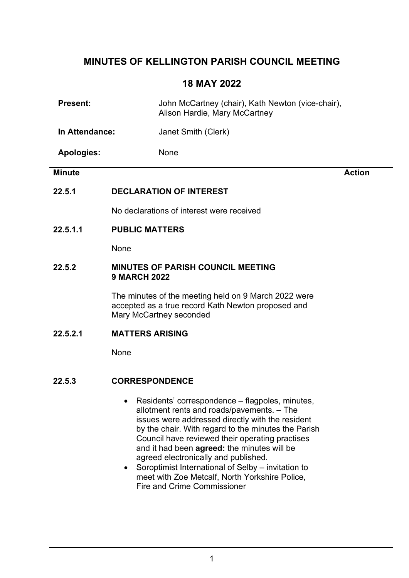# MINUTES OF KELLINGTON PARISH COUNCIL MEETING

## 18 MAY 2022

| <b>Present:</b>   |                        | John McCartney (chair), Kath Newton (vice-chair),<br>Alison Hardie, Mary McCartney                                                                                                                                                                                                                                                                 |               |
|-------------------|------------------------|----------------------------------------------------------------------------------------------------------------------------------------------------------------------------------------------------------------------------------------------------------------------------------------------------------------------------------------------------|---------------|
| In Attendance:    |                        | Janet Smith (Clerk)                                                                                                                                                                                                                                                                                                                                |               |
| <b>Apologies:</b> |                        | None                                                                                                                                                                                                                                                                                                                                               |               |
| <b>Minute</b>     |                        |                                                                                                                                                                                                                                                                                                                                                    | <b>Action</b> |
| 22.5.1            |                        | <b>DECLARATION OF INTEREST</b>                                                                                                                                                                                                                                                                                                                     |               |
|                   |                        | No declarations of interest were received                                                                                                                                                                                                                                                                                                          |               |
| 22.5.1.1          | <b>PUBLIC MATTERS</b>  |                                                                                                                                                                                                                                                                                                                                                    |               |
|                   | None                   |                                                                                                                                                                                                                                                                                                                                                    |               |
| 22.5.2            | <b>9 MARCH 2022</b>    | <b>MINUTES OF PARISH COUNCIL MEETING</b>                                                                                                                                                                                                                                                                                                           |               |
|                   |                        | The minutes of the meeting held on 9 March 2022 were<br>accepted as a true record Kath Newton proposed and<br>Mary McCartney seconded                                                                                                                                                                                                              |               |
| 22.5.2.1          | <b>MATTERS ARISING</b> |                                                                                                                                                                                                                                                                                                                                                    |               |
|                   | None                   |                                                                                                                                                                                                                                                                                                                                                    |               |
| 22.5.3            | <b>CORRESPONDENCE</b>  |                                                                                                                                                                                                                                                                                                                                                    |               |
|                   |                        | Residents' correspondence – flagpoles, minutes,<br>allotment rents and roads/pavements. - The<br>issues were addressed directly with the resident<br>by the chair. With regard to the minutes the Parish<br>Council have reviewed their operating practises<br>and it had been agreed: the minutes will be<br>agreed electronically and published. |               |

• Soroptimist International of Selby – invitation to meet with Zoe Metcalf, North Yorkshire Police, Fire and Crime Commissioner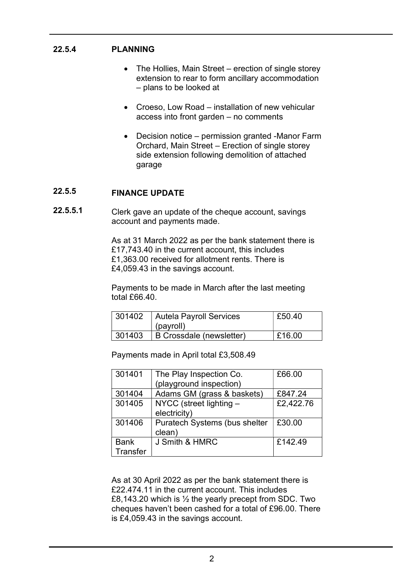#### 22.5.4 PLANNING

- The Hollies, Main Street erection of single storey extension to rear to form ancillary accommodation – plans to be looked at
- Croeso, Low Road installation of new vehicular access into front garden – no comments
- Decision notice permission granted -Manor Farm Orchard, Main Street – Erection of single storey side extension following demolition of attached garage

#### 22.5.5 FINANCE UPDATE

22.5.5.1 Clerk gave an update of the cheque account, savings account and payments made.

> As at 31 March 2022 as per the bank statement there is £17,743.40 in the current account, this includes £1,363.00 received for allotment rents. There is £4,059.43 in the savings account.

Payments to be made in March after the last meeting total  $f66.40$ .

| 301402 | <b>Autela Payroll Services</b><br>็ (payroll) | £50.40 |
|--------|-----------------------------------------------|--------|
| 301403 | B Crossdale (newsletter)                      | £16.00 |

Payments made in April total £3,508.49

| 301401      | The Play Inspection Co.       | £66.00    |
|-------------|-------------------------------|-----------|
|             | (playground inspection)       |           |
| 301404      | Adams GM (grass & baskets)    | £847.24   |
| 301405      | NYCC (street lighting -       | £2,422.76 |
|             | electricity)                  |           |
| 301406      | Puratech Systems (bus shelter | £30.00    |
|             | clean)                        |           |
| <b>Bank</b> | J Smith & HMRC                | £142.49   |
| Transfer    |                               |           |

As at 30 April 2022 as per the bank statement there is £22.474.11 in the current account. This includes £8,143.20 which is  $\frac{1}{2}$  the yearly precept from SDC. Two cheques haven't been cashed for a total of £96.00. There is £4,059.43 in the savings account.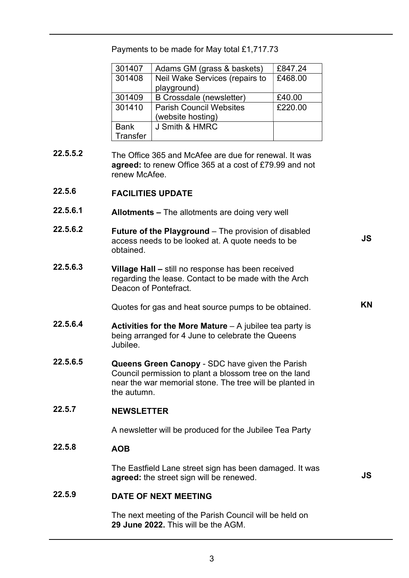Payments to be made for May total £1,717.73

| 301407      | £847.24<br>Adams GM (grass & baskets) |         |  |
|-------------|---------------------------------------|---------|--|
| 301408      | Neil Wake Services (repairs to        | £468.00 |  |
|             | playground)                           |         |  |
| 301409      | <b>B Crossdale (newsletter)</b>       | £40.00  |  |
| 301410      | <b>Parish Council Websites</b>        | £220.00 |  |
|             | (website hosting)                     |         |  |
| <b>Bank</b> | J Smith & HMRC                        |         |  |
| Transfer    |                                       |         |  |

- 22.5.5.2 The Office 365 and McAfee are due for renewal. It was agreed: to renew Office 365 at a cost of £79.99 and not renew McAfee.
- 22.5.6 FACILITIES UPDATE
- 22.5.6.1 Allotments – The allotments are doing very well
- 22.5.6.2 Future of the Playground – The provision of disabled access needs to be looked at. A quote needs to be obtained.
- 22.5.6.3 Village Hall – still no response has been received regarding the lease. Contact to be made with the Arch Deacon of Pontefract.

Quotes for gas and heat source pumps to be obtained.

- 22.5.6.4 Activities for the More Mature  $-$  A jubilee tea party is being arranged for 4 June to celebrate the Queens Jubilee.
- 22.5.6.5 Queens Green Canopy - SDC have given the Parish Council permission to plant a blossom tree on the land near the war memorial stone. The tree will be planted in the autumn.
- 22.5.7 NEWSLETTER

A newsletter will be produced for the Jubilee Tea Party

### 22.5.8 AOB

The Eastfield Lane street sign has been damaged. It was agreed: the street sign will be renewed.

JS

JS

KN

### 22.5.9 DATE OF NEXT MEETING

The next meeting of the Parish Council will be held on 29 June 2022. This will be the AGM.